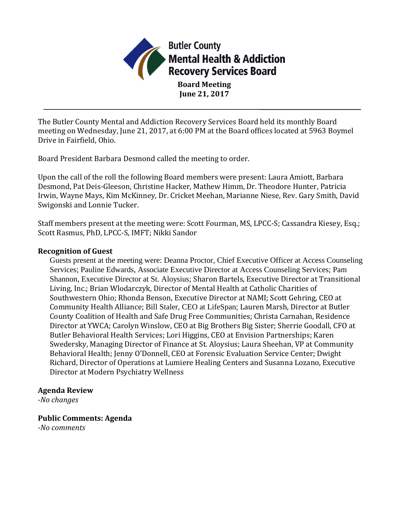

**Board Meeting June 21, 2017**

The Butler County Mental and Addiction Recovery Services Board held its monthly Board meeting on Wednesday, June 21, 2017, at 6:00 PM at the Board offices located at 5963 Boymel Drive in Fairfield, Ohio.

Board President Barbara Desmond called the meeting to order.

Upon the call of the roll the following Board members were present: Laura Amiott, Barbara Desmond, Pat Deis-Gleeson, Christine Hacker, Mathew Himm, Dr. Theodore Hunter, Patricia Irwin, Wayne Mays, Kim McKinney, Dr. Cricket Meehan, Marianne Niese, Rev. Gary Smith, David Swigonski and Lonnie Tucker.

Staff members present at the meeting were: Scott Fourman, MS, LPCC-S; Cassandra Kiesey, Esq.; Scott Rasmus, PhD, LPCC-S, IMFT; Nikki Sandor

#### **Recognition of Guest**

Guests present at the meeting were: Deanna Proctor, Chief Executive Officer at Access Counseling Services; Pauline Edwards, Associate Executive Director at Access Counseling Services; Pam Shannon, Executive Director at St. Aloysius; Sharon Bartels, Executive Director at Transitional Living, Inc.; Brian Wlodarczyk, Director of Mental Health at Catholic Charities of Southwestern Ohio; Rhonda Benson, Executive Director at NAMI; Scott Gehring, CEO at Community Health Alliance; Bill Staler, CEO at LifeSpan; Lauren Marsh, Director at Butler County Coalition of Health and Safe Drug Free Communities; Christa Carnahan, Residence Director at YWCA; Carolyn Winslow, CEO at Big Brothers Big Sister; Sherrie Goodall, CFO at Butler Behavioral Health Services; Lori Higgins, CEO at Envision Partnerships; Karen Swedersky, Managing Director of Finance at St. Aloysius; Laura Sheehan, VP at Community Behavioral Health; Jenny O'Donnell, CEO at Forensic Evaluation Service Center; Dwight Richard, Director of Operations at Lumiere Healing Centers and Susanna Lozano, Executive Director at Modern Psychiatry Wellness

## **Agenda Review**

*-No changes*

## **Public Comments: Agenda**

*-No comments*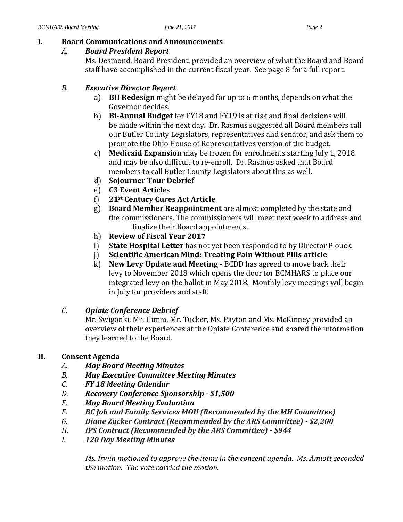## **I. Board Communications and Announcements**

# *A. Board President Report*

Ms. Desmond, Board President, provided an overview of what the Board and Board staff have accomplished in the current fiscal year. See page 8 for a full report.

# *B. Executive Director Report*

- a) **BH Redesign** might be delayed for up to 6 months, depends on what the Governor decides.
- b) **Bi-Annual Budget** for FY18 and FY19 is at risk and final decisions will be made within the next day. Dr. Rasmus suggested all Board members call our Butler County Legislators, representatives and senator, and ask them to promote the Ohio House of Representatives version of the budget.
- c) **Medicaid Expansion** may be frozen for enrollments starting July 1, 2018 and may be also difficult to re-enroll. Dr. Rasmus asked that Board members to call Butler County Legislators about this as well.
- d) **Sojourner Tour Debrief**
- e) **C3 Event Article**s
- f) **21st Century Cures Act Article**
- g) **Board Member Reappointment** are almost completed by the state and the commissioners. The commissioners will meet next week to address and finalize their Board appointments.
- h) **Review of Fiscal Year 2017**
- i) **State Hospital Letter** has not yet been responded to by Director Plouck.
- j) **Scientific American Mind: Treating Pain Without Pills article**
- k) **New Levy Update and Meeting -** BCDD has agreed to move back their levy to November 2018 which opens the door for BCMHARS to place our integrated levy on the ballot in May 2018. Monthly levy meetings will begin in July for providers and staff.
- *C. Opiate Conference Debrief*

Mr. Swigonki, Mr. Himm, Mr. Tucker, Ms. Payton and Ms. McKinney provided an overview of their experiences at the Opiate Conference and shared the information they learned to the Board.

# **II. Consent Agenda**

- *A. May Board Meeting Minutes*
- *B. May Executive Committee Meeting Minutes*
- *C. FY 18 Meeting Calendar*
- *D. Recovery Conference Sponsorship - \$1,500*
- *E. May Board Meeting Evaluation*
- *F. BC Job and Family Services MOU (Recommended by the MH Committee)*
- *G. Diane Zucker Contract (Recommended by the ARS Committee) - \$2,200*
- *H. IPS Contract (Recommended by the ARS Committee) - \$944*
- *I. 120 Day Meeting Minutes*

*Ms. Irwin motioned to approve the items in the consent agenda. Ms. Amiott seconded the motion. The vote carried the motion.*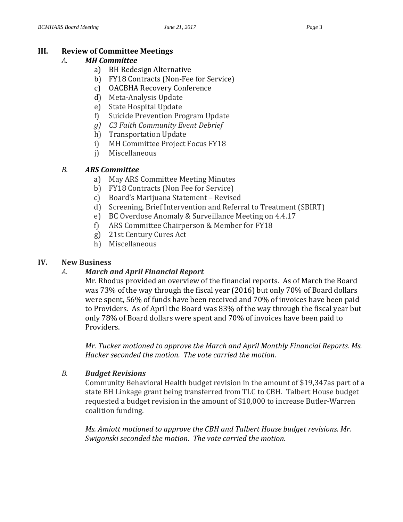# **III. Review of Committee Meetings**

# *A. MH Committee*

- a) BH Redesign Alternative
- b) FY18 Contracts (Non-Fee for Service)
- c) OACBHA Recovery Conference
- d) Meta-Analysis Update
- e) State Hospital Update
- f) Suicide Prevention Program Update
- *g) C3 Faith Community Event Debrief*
- h) Transportation Update
- i) MH Committee Project Focus FY18
- j) Miscellaneous

# *B. ARS Committee*

- a) May ARS Committee Meeting Minutes
- b) FY18 Contracts (Non Fee for Service)
- c) Board's Marijuana Statement Revised
- d) Screening, Brief Intervention and Referral to Treatment (SBIRT)
- e) BC Overdose Anomaly & Surveillance Meeting on 4.4.17
- f) ARS Committee Chairperson & Member for FY18
- g) 21st Century Cures Act
- h) Miscellaneous

## **IV. New Business**

## *A. March and April Financial Report*

Mr. Rhodus provided an overview of the financial reports. As of March the Board was 73% of the way through the fiscal year (2016) but only 70% of Board dollars were spent, 56% of funds have been received and 70% of invoices have been paid to Providers. As of April the Board was 83% of the way through the fiscal year but only 78% of Board dollars were spent and 70% of invoices have been paid to Providers.

*Mr. Tucker motioned to approve the March and April Monthly Financial Reports. Ms. Hacker seconded the motion. The vote carried the motion.* 

## *B. Budget Revisions*

Community Behavioral Health budget revision in the amount of \$19,347as part of a state BH Linkage grant being transferred from TLC to CBH. Talbert House budget requested a budget revision in the amount of \$10,000 to increase Butler-Warren coalition funding.

*Ms. Amiott motioned to approve the CBH and Talbert House budget revisions. Mr. Swigonski seconded the motion. The vote carried the motion.*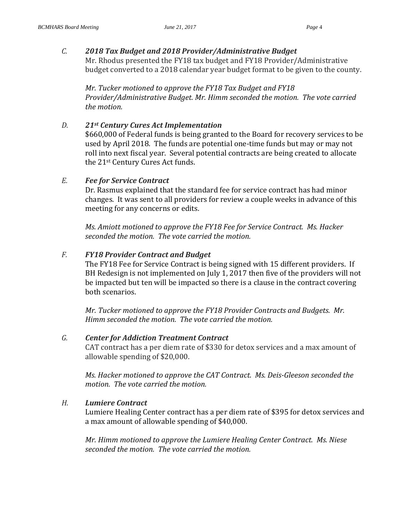#### *C. 2018 Tax Budget and 2018 Provider/Administrative Budget*

Mr. Rhodus presented the FY18 tax budget and FY18 Provider/Administrative budget converted to a 2018 calendar year budget format to be given to the county.

*Mr. Tucker motioned to approve the FY18 Tax Budget and FY18 Provider/Administrative Budget. Mr. Himm seconded the motion. The vote carried the motion.* 

#### *D. 21st Century Cures Act Implementation*

\$660,000 of Federal funds is being granted to the Board for recovery services to be used by April 2018. The funds are potential one-time funds but may or may not roll into next fiscal year. Several potential contracts are being created to allocate the 21st Century Cures Act funds.

#### *E. Fee for Service Contract*

Dr. Rasmus explained that the standard fee for service contract has had minor changes. It was sent to all providers for review a couple weeks in advance of this meeting for any concerns or edits.

*Ms. Amiott motioned to approve the FY18 Fee for Service Contract. Ms. Hacker seconded the motion. The vote carried the motion.* 

#### *F. FY18 Provider Contract and Budget*

The FY18 Fee for Service Contract is being signed with 15 different providers. If BH Redesign is not implemented on July 1, 2017 then five of the providers will not be impacted but ten will be impacted so there is a clause in the contract covering both scenarios.

*Mr. Tucker motioned to approve the FY18 Provider Contracts and Budgets. Mr. Himm seconded the motion. The vote carried the motion.* 

#### *G. Center for Addiction Treatment Contract*

CAT contract has a per diem rate of \$330 for detox services and a max amount of allowable spending of \$20,000.

*Ms. Hacker motioned to approve the CAT Contract. Ms. Deis-Gleeson seconded the motion. The vote carried the motion.* 

#### *H. Lumiere Contract*

Lumiere Healing Center contract has a per diem rate of \$395 for detox services and a max amount of allowable spending of \$40,000.

*Mr. Himm motioned to approve the Lumiere Healing Center Contract. Ms. Niese seconded the motion. The vote carried the motion.*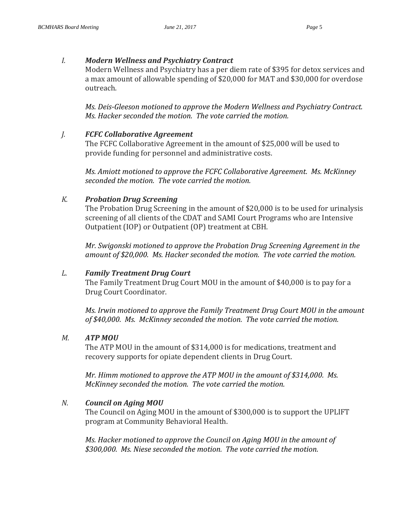#### *I. Modern Wellness and Psychiatry Contract*

Modern Wellness and Psychiatry has a per diem rate of \$395 for detox services and a max amount of allowable spending of \$20,000 for MAT and \$30,000 for overdose outreach.

*Ms. Deis-Gleeson motioned to approve the Modern Wellness and Psychiatry Contract. Ms. Hacker seconded the motion. The vote carried the motion.* 

## *J. FCFC Collaborative Agreement*

The FCFC Collaborative Agreement in the amount of \$25,000 will be used to provide funding for personnel and administrative costs.

*Ms. Amiott motioned to approve the FCFC Collaborative Agreement. Ms. McKinney seconded the motion. The vote carried the motion.* 

## *K. Probation Drug Screening*

The Probation Drug Screening in the amount of \$20,000 is to be used for urinalysis screening of all clients of the CDAT and SAMI Court Programs who are Intensive Outpatient (IOP) or Outpatient (OP) treatment at CBH.

*Mr. Swigonski motioned to approve the Probation Drug Screening Agreement in the amount of \$20,000. Ms. Hacker seconded the motion. The vote carried the motion.* 

## *L. Family Treatment Drug Court*

The Family Treatment Drug Court MOU in the amount of \$40,000 is to pay for a Drug Court Coordinator.

*Ms. Irwin motioned to approve the Family Treatment Drug Court MOU in the amount of \$40,000. Ms. McKinney seconded the motion. The vote carried the motion.* 

## *M. ATP MOU*

The ATP MOU in the amount of \$314,000 is for medications, treatment and recovery supports for opiate dependent clients in Drug Court.

*Mr. Himm motioned to approve the ATP MOU in the amount of \$314,000. Ms. McKinney seconded the motion. The vote carried the motion.* 

## *N. Council on Aging MOU*

The Council on Aging MOU in the amount of \$300,000 is to support the UPLIFT program at Community Behavioral Health.

*Ms. Hacker motioned to approve the Council on Aging MOU in the amount of \$300,000. Ms. Niese seconded the motion. The vote carried the motion.*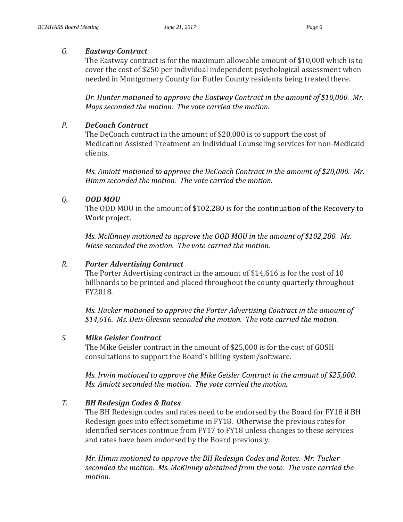## *O. Eastway Contract*

The Eastway contract is for the maximum allowable amount of \$10,000 which is to cover the cost of \$250 per individual independent psychological assessment when needed in Montgomery County for Butler County residents being treated there.

*Dr. Hunter motioned to approve the Eastway Contract in the amount of \$10,000. Mr. Mays seconded the motion. The vote carried the motion.* 

# *P. DeCoach Contract*

The DeCoach contract in the amount of \$20,000 is to support the cost of Medication Assisted Treatment an Individual Counseling services for non-Medicaid clients.

*Ms. Amiott motioned to approve the DeCoach Contract in the amount of \$20,000. Mr. Himm seconded the motion. The vote carried the motion.* 

# *Q. OOD MOU*

The ODD MOU in the amount of \$102,280 is for the continuation of the Recovery to Work project.

*Ms. McKinney motioned to approve the OOD MOU in the amount of \$102,280. Ms. Niese seconded the motion. The vote carried the motion.* 

# *R. Porter Advertising Contract*

The Porter Advertising contract in the amount of \$14,616 is for the cost of 10 billboards to be printed and placed throughout the county quarterly throughout FY2018.

*Ms. Hacker motioned to approve the Porter Advertising Contract in the amount of \$14,616. Ms. Deis-Gleeson seconded the motion. The vote carried the motion.* 

# *S. Mike Geisler Contract*

The Mike Geisler contract in the amount of \$25,000 is for the cost of GOSH consultations to support the Board's billing system/software.

*Ms. Irwin motioned to approve the Mike Geisler Contract in the amount of \$25,000. Ms. Amiott seconded the motion. The vote carried the motion.* 

# *T. BH Redesign Codes & Rates*

The BH Redesign codes and rates need to be endorsed by the Board for FY18 if BH Redesign goes into effect sometime in FY18. Otherwise the previous rates for identified services continue from FY17 to FY18 unless changes to these services and rates have been endorsed by the Board previously.

*Mr. Himm motioned to approve the BH Redesign Codes and Rates. Mr. Tucker seconded the motion. Ms. McKinney abstained from the vote. The vote carried the motion.*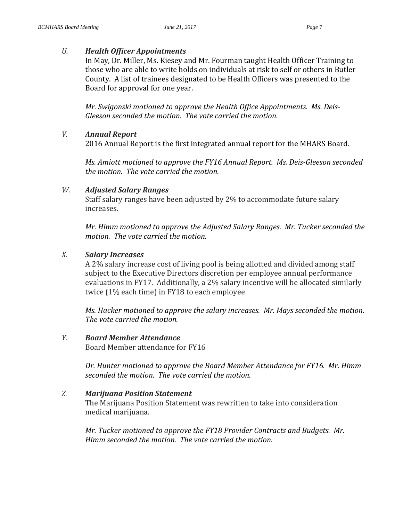#### *U. Health Officer Appointments*

In May, Dr. Miller, Ms. Kiesey and Mr. Fourman taught Health Officer Training to those who are able to write holds on individuals at risk to self or others in Butler County. A list of trainees designated to be Health Officers was presented to the Board for approval for one year.

*Mr. Swigonski motioned to approve the Health Office Appointments. Ms. Deis-Gleeson seconded the motion. The vote carried the motion.* 

#### *V. Annual Report*

2016 Annual Report is the first integrated annual report for the MHARS Board.

*Ms. Amiott motioned to approve the FY16 Annual Report. Ms. Deis-Gleeson seconded the motion. The vote carried the motion.* 

#### *W. Adjusted Salary Ranges*

Staff salary ranges have been adjusted by 2% to accommodate future salary increases.

*Mr. Himm motioned to approve the Adjusted Salary Ranges. Mr. Tucker seconded the motion. The vote carried the motion.* 

#### *X. Salary Increases*

A 2% salary increase cost of living pool is being allotted and divided among staff subject to the Executive Directors discretion per employee annual performance evaluations in FY17. Additionally, a 2% salary incentive will be allocated similarly twice (1% each time) in FY18 to each employee

*Ms. Hacker motioned to approve the salary increases. Mr. Mays seconded the motion. The vote carried the motion.* 

## *Y. Board Member Attendance*

Board Member attendance for FY16

*Dr. Hunter motioned to approve the Board Member Attendance for FY16. Mr. Himm seconded the motion. The vote carried the motion.* 

#### *Z. Marijuana Position Statement*

The Marijuana Position Statement was rewritten to take into consideration medical marijuana.

*Mr. Tucker motioned to approve the FY18 Provider Contracts and Budgets. Mr. Himm seconded the motion. The vote carried the motion.*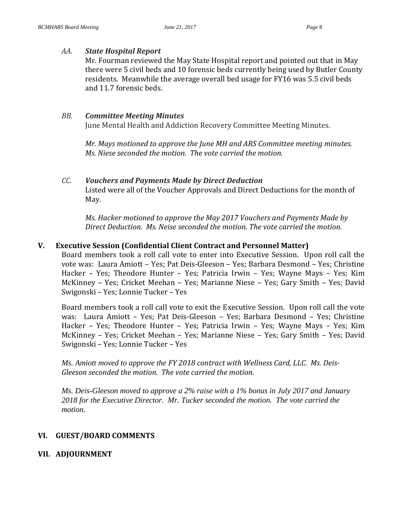#### *AA. State Hospital Report*

Mr. Fourman reviewed the May State Hospital report and pointed out that in May there were 5 civil beds and 10 forensic beds currently being used by Butler County residents. Meanwhile the average overall bed usage for FY16 was 5.5 civil beds and 11.7 forensic beds.

#### *BB. Committee Meeting Minutes*

June Mental Health and Addiction Recovery Committee Meeting Minutes.

*Mr. Mays motioned to approve the June MH and ARS Committee meeting minutes. Ms. Niese seconded the motion. The vote carried the motion.* 

# *CC. Vouchers and Payments Made by Direct Deduction* Listed were all of the Voucher Approvals and Direct Deductions for the month of May.

*Ms. Hacker motioned to approve the May 2017 Vouchers and Payments Made by Direct Deduction. Ms. Neise seconded the motion. The vote carried the motion.*

#### **V. Executive Session (Confidential Client Contract and Personnel Matter)**

Board members took a roll call vote to enter into Executive Session. Upon roll call the vote was: Laura Amiott – Yes; Pat Deis-Gleeson – Yes; Barbara Desmond – Yes; Christine Hacker – Yes; Theodore Hunter – Yes; Patricia Irwin – Yes; Wayne Mays – Yes; Kim McKinney – Yes; Cricket Meehan – Yes; Marianne Niese – Yes; Gary Smith – Yes; David Swigonski – Yes; Lonnie Tucker – Yes

Board members took a roll call vote to exit the Executive Session. Upon roll call the vote was: Laura Amiott – Yes; Pat Deis-Gleeson – Yes; Barbara Desmond – Yes; Christine Hacker – Yes; Theodore Hunter – Yes; Patricia Irwin – Yes; Wayne Mays – Yes; Kim McKinney – Yes; Cricket Meehan – Yes; Marianne Niese – Yes; Gary Smith – Yes; David Swigonski – Yes; Lonnie Tucker – Yes

*Ms. Amiott moved to approve the FY 2018 contract with Wellness Card, LLC. Ms. Deis-Gleeson seconded the motion. The vote carried the motion.*

*Ms. Deis-Gleeson moved to approve a 2% raise with a 1% bonus in July 2017 and January 2018 for the Executive Director. Mr. Tucker seconded the motion. The vote carried the motion.*

## **VI. GUEST/BOARD COMMENTS**

## **VII. ADJOURNMENT**